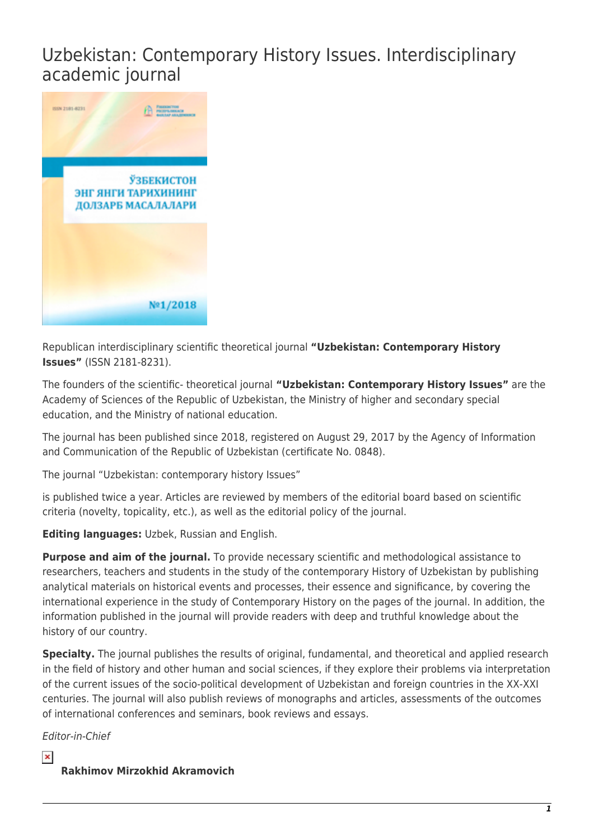## Uzbekistan: Contemporary History Issues. Interdisciplinary academic journal



Republican interdisciplinary scientific theoretical journal **"Uzbekistan: Contemporary History Issues"** (ISSN 2181-8231).

The founders of the scientific- theoretical journal **"Uzbekistan: Contemporary History Issues"** are the Academy of Sciences of the Republic of Uzbekistan, the Ministry of higher and secondary special education, and the Ministry of national education.

The journal has been published since 2018, registered on August 29, 2017 by the Agency of Information and Communication of the Republic of Uzbekistan (certificate No. 0848).

The journal "Uzbekistan: contemporary history Issues"

is published twice a year. Articles are reviewed by members of the editorial board based on scientific criteria (novelty, topicality, etc.), as well as the editorial policy of the journal.

**Editing languages:** Uzbek, Russian and English.

**Purpose and aim of the journal.** To provide necessary scientific and methodological assistance to researchers, teachers and students in the study of the contemporary History of Uzbekistan by publishing analytical materials on historical events and processes, their essence and significance, by covering the international experience in the study of Contemporary History on the pages of the journal. In addition, the information published in the journal will provide readers with deep and truthful knowledge about the history of our country.

**Specialty.** The journal publishes the results of original, fundamental, and theoretical and applied research in the field of history and other human and social sciences, if they explore their problems via interpretation of the current issues of the socio-political development of Uzbekistan and foreign countries in the XX-XXI centuries. The journal will also publish reviews of monographs and articles, assessments of the outcomes of international conferences and seminars, book reviews and essays.

Editor-in-Chief

 $\pmb{\times}$ 

## **Rakhimov Mirzokhid Akramovich**